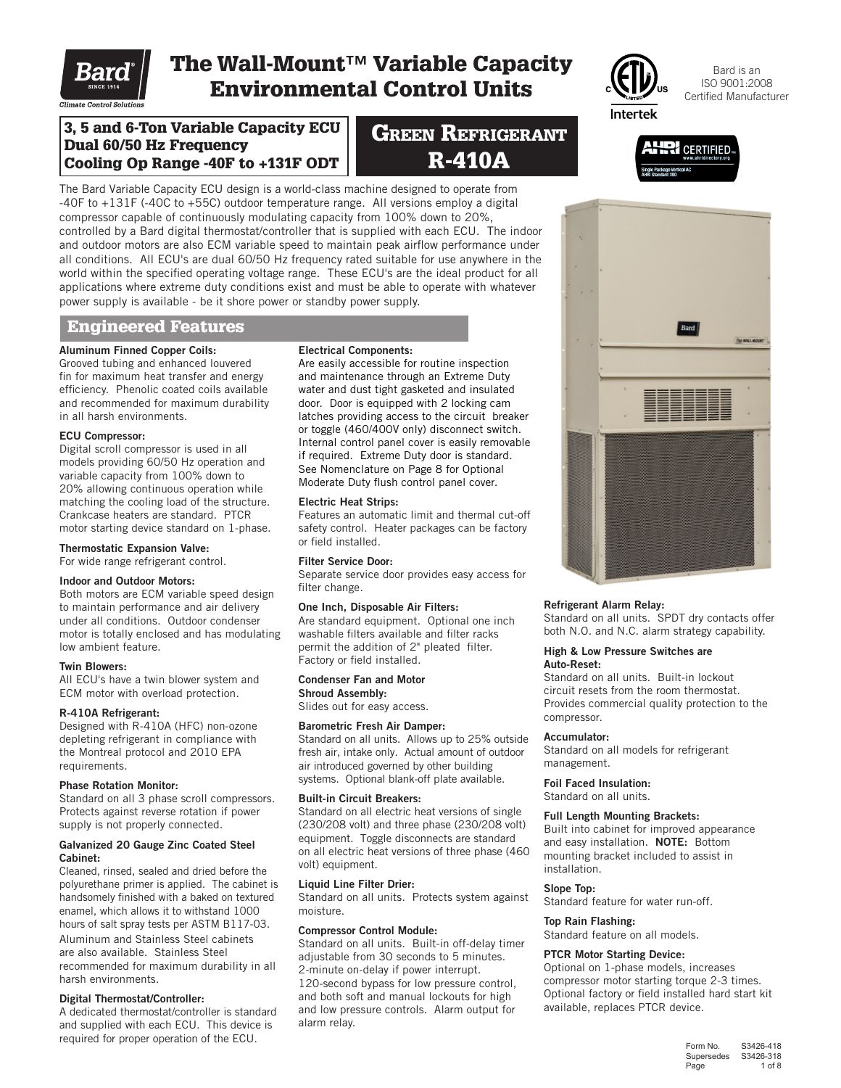

# The Wall-Mount™ Variable Capacity Environmental Control Units

**GREEN REFRIGERANT** R-410A



Bard is an ISO 9001:2008 Certified Manufacturer

**CERTIFIED.** 

3, 5 and 6-Ton Variable Capacity ECU Dual 60/50 Hz Frequency Cooling Op Range -40F to +131F ODT

The Bard Variable Capacity ECU design is a world-class machine designed to operate from -40F to +131F (-40C to +55C) outdoor temperature range. All versions employ a digital compressor capable of continuously modulating capacity from 100% down to 20%, controlled by a Bard digital thermostat/controller that is supplied with each ECU. The indoor and outdoor motors are also ECM variable speed to maintain peak airflow performance under all conditions. All ECU's are dual 60/50 Hz frequency rated suitable for use anywhere in the world within the specified operating voltage range. These ECU's are the ideal product for all applications where extreme duty conditions exist and must be able to operate with whatever power supply is available - be it shore power or standby power supply.

### Engineered Features

## Aluminum Finned Copper Coils:

Grooved tubing and enhanced louvered fin for maximum heat transfer and energy efficiency. Phenolic coated coils available and recommended for maximum durability in all harsh environments.

### ECU Compressor:

Digital scroll compressor is used in all models providing 60/50 Hz operation and variable capacity from 100% down to 20% allowing continuous operation while matching the cooling load of the structure. Crankcase heaters are standard. PTCR motor starting device standard on 1-phase.

Thermostatic Expansion Valve:

For wide range refrigerant control.

### Indoor and Outdoor Motors:

Both motors are ECM variable speed design to maintain performance and air delivery under all conditions. Outdoor condenser motor is totally enclosed and has modulating low ambient feature.

### Twin Blowers:

All ECU's have a twin blower system and ECM motor with overload protection.

### R-410A Refrigerant:

Designed with R-410A (HFC) non-ozone depleting refrigerant in compliance with the Montreal protocol and 2010 EPA requirements.

### Phase Rotation Monitor:

Standard on all 3 phase scroll compressors. Protects against reverse rotation if power supply is not properly connected.

### Galvanized 20 Gauge Zinc Coated Steel Cabinet:

Cleaned, rinsed, sealed and dried before the polyurethane primer is applied. The cabinet is handsomely finished with a baked on textured enamel, which allows it to withstand 1000 hours of salt spray tests per ASTM B117-03. Aluminum and Stainless Steel cabinets are also available. Stainless Steel

recommended for maximum durability in all harsh environments.

### Digital Thermostat/Controller:

A dedicated thermostat/controller is standard and supplied with each ECU. This device is required for proper operation of the ECU.

### Electrical Components:

Are easily accessible for routine inspection and maintenance through an Extreme Duty water and dust tight gasketed and insulated door. Door is equipped with 2 locking cam latches providing access to the circuit breaker or toggle (460/400V only) disconnect switch. Internal control panel cover is easily removable if required. Extreme Duty door is standard. See Nomenclature on Page 8 for Optional Moderate Duty flush control panel cover.

### Electric Heat Strips:

Features an automatic limit and thermal cut-off safety control. Heater packages can be factory or field installed.

### Filter Service Door:

Separate service door provides easy access for filter change.

### One Inch, Disposable Air Filters:

Are standard equipment. Optional one inch washable filters available and filter racks permit the addition of 2" pleated filter. Factory or field installed.

#### Condenser Fan and Motor Shroud Assembly:

Slides out for easy access.

### Barometric Fresh Air Damper:

Standard on all units. Allows up to 25% outside fresh air, intake only. Actual amount of outdoor air introduced governed by other building systems. Optional blank-off plate available.

### Built-in Circuit Breakers:

Standard on all electric heat versions of single (230/208 volt) and three phase (230/208 volt) equipment. Toggle disconnects are standard on all electric heat versions of three phase (460 volt) equipment.

### Liquid Line Filter Drier:

Standard on all units. Protects system against moisture.

### Compressor Control Module:

Standard on all units. Built-in off-delay timer adjustable from 30 seconds to 5 minutes. 2-minute on-delay if power interrupt. 120-second bypass for low pressure control, and both soft and manual lockouts for high and low pressure controls. Alarm output for alarm relay.



### Refrigerant Alarm Relay:

Standard on all units. SPDT dry contacts offer both N.O. and N.C. alarm strategy capability.

#### High & Low Pressure Switches are Auto-Reset:

Standard on all units. Built-in lockout circuit resets from the room thermostat. Provides commercial quality protection to the compressor.

### Accumulator:

Standard on all models for refrigerant management.

### Foil Faced Insulation:

Standard on all units.

### Full Length Mounting Brackets:

Built into cabinet for improved appearance and easy installation. NOTE: Bottom mounting bracket included to assist in installation.

### Slope Top:

Standard feature for water run-off.

### Top Rain Flashing:

Standard feature on all models.

### PTCR Motor Starting Device:

Optional on 1-phase models, increases compressor motor starting torque 2-3 times. Optional factory or field installed hard start kit available, replaces PTCR device.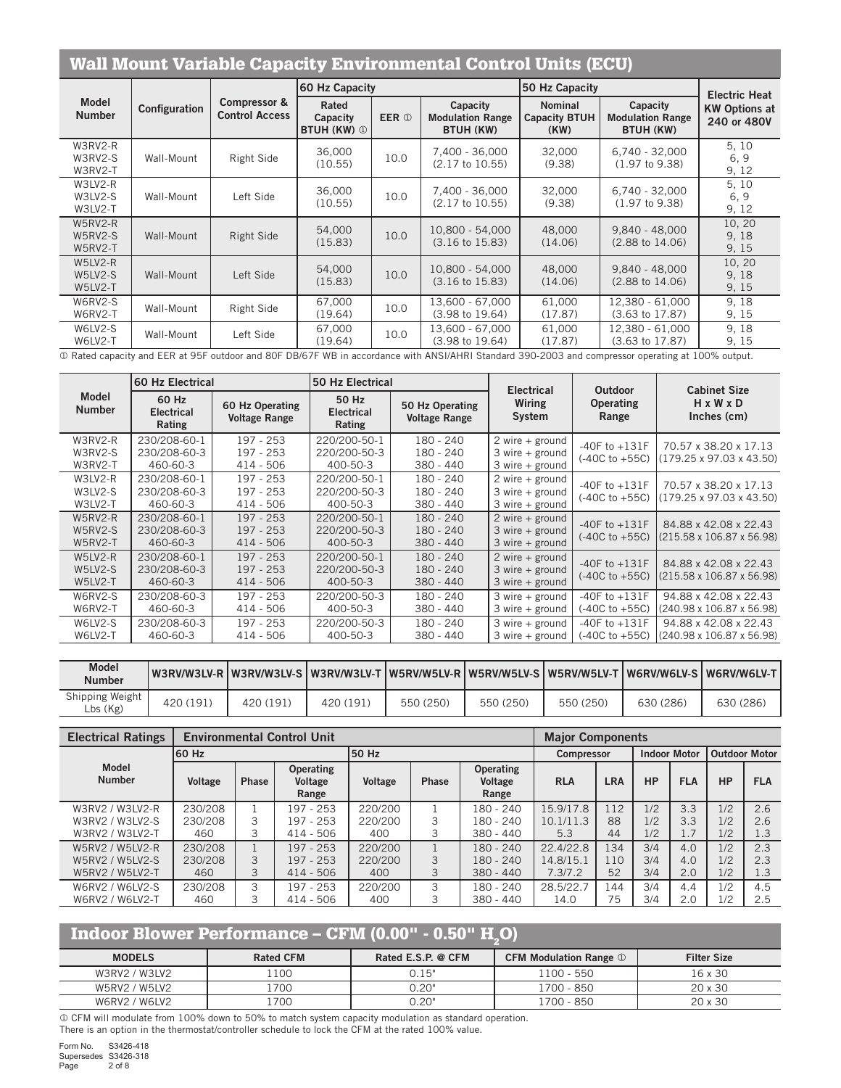## Wall Mount Variable Capacity Environmental Control Units (ECU)

|                               |               |                                       | 60 Hz Capacity                          |              |                                                         | 50 Hz Capacity                                 |                                                         | <b>Electric Heat</b>                |  |
|-------------------------------|---------------|---------------------------------------|-----------------------------------------|--------------|---------------------------------------------------------|------------------------------------------------|---------------------------------------------------------|-------------------------------------|--|
| <b>Model</b><br><b>Number</b> | Configuration | Compressor &<br><b>Control Access</b> | Rated<br>Capacity<br><b>BTUH (KW) ①</b> | <b>EER ①</b> | Capacity<br><b>Modulation Range</b><br><b>BTUH (KW)</b> | <b>Nominal</b><br><b>Capacity BTUH</b><br>(KW) | Capacity<br><b>Modulation Range</b><br><b>BTUH (KW)</b> | <b>KW Options at</b><br>240 or 480V |  |
| W3RV2-R<br>W3RV2-S<br>W3RV2-T | Wall-Mount    | Right Side                            | 36,000<br>(10.55)                       | 10.0         | 7,400 - 36,000<br>(2.17 to 10.55)                       | 32,000<br>(9.38)                               | $6,740 - 32,000$<br>$(1.97 \text{ to } 9.38)$           | 5, 10<br>6, 9<br>9, 12              |  |
| W3LV2-R<br>W3LV2-S<br>W3LV2-T | Wall-Mount    | Left Side                             | 36,000<br>(10.55)                       | 10.0         | 7,400 - 36,000<br>(2.17 to 10.55)                       | 32,000<br>(9.38)                               | $6,740 - 32,000$<br>$(1.97 \text{ to } 9.38)$           | 5, 10<br>6.9<br>9, 12               |  |
| W5RV2-R<br>W5RV2-S<br>W5RV2-T | Wall-Mount    | Right Side                            | 54,000<br>(15.83)                       | 10.0         | 10,800 - 54,000<br>$(3.16 \text{ to } 15.83)$           | 48,000<br>(14.06)                              | $9.840 - 48.000$<br>$(2.88 \text{ to } 14.06)$          | 10, 20<br>9, 18<br>9, 15            |  |
| W5LV2-R<br>W5LV2-S<br>W5LV2-T | Wall-Mount    | Left Side                             | 54,000<br>(15.83)                       | 10.0         | 10,800 - 54,000<br>$(3.16 \text{ to } 15.83)$           | 48,000<br>(14.06)                              | $9,840 - 48,000$<br>$(2.88 \text{ to } 14.06)$          | 10, 20<br>9, 18<br>9, 15            |  |
| W6RV2-S<br>W6RV2-T            | Wall-Mount    | Right Side                            | 67,000<br>(19.64)                       | 10.0         | 13.600 - 67.000<br>$(3.98 \text{ to } 19.64)$           | 61.000<br>(17.87)                              | 12.380 - 61.000<br>$(3.63 \text{ to } 17.87)$           | 9,18<br>9, 15                       |  |
| W6LV2-S<br>W6LV2-T            | Wall-Mount    | Left Side                             | 67,000<br>(19.64)                       | 10.0         | 13,600 - 67,000<br>$(3.98 \text{ to } 19.64)$           | 61,000<br>(17.87)                              | 12,380 - 61,000<br>$(3.63 \text{ to } 17.87)$           | 9, 18<br>9, 15                      |  |

Rated capacity and EER at 95F outdoor and 80F DB/67F WB in accordance with ANSI/AHRI Standard 390-2003 and compressor operating at 100% output.

| <b>Model</b>                    | 160 Hz Electrical                        |                                           | 50 Hz Electrical                                                                |                                         | <b>Electrical</b>                                           | Outdoor                               | <b>Cabinet Size</b>                                            |
|---------------------------------|------------------------------------------|-------------------------------------------|---------------------------------------------------------------------------------|-----------------------------------------|-------------------------------------------------------------|---------------------------------------|----------------------------------------------------------------|
| <b>Number</b>                   | 60 Hz<br><b>Electrical</b><br>Rating     | 60 Hz Operating<br><b>Voltage Range</b>   | 50 Hz<br><b>Electrical</b><br>Rating                                            | 50 Hz Operating<br><b>Voltage Range</b> | Wiring<br>System                                            | <b>Operating</b><br>Range             | $H \times W \times D$<br>Inches (cm)                           |
| W3RV2-R<br>W3RV2-S<br>W3RV2-T   | 230/208-60-1<br>230/208-60-3<br>460-60-3 | 197 - 253<br>$197 - 253$<br>$414 - 506$   | 220/200-50-1<br>180 - 240<br>220/200-50-3<br>180 - 240<br>400-50-3<br>380 - 440 |                                         | 2 wire $+$ ground<br>$3$ wire + ground<br>$3$ wire + ground | -40F to $+131F$<br>(-40C to +55C)     | 70.57 x 38.20 x 17.13<br>$(179.25 \times 97.03 \times 43.50)$  |
| W3LV2-R<br>W3LV2-S<br>W3LV2-T   | 230/208-60-1<br>230/208-60-3<br>460-60-3 | $197 - 253$<br>197 - 253<br>$414 - 506$   | 220/200-50-1<br>220/200-50-3<br>400-50-3                                        | 180 - 240<br>180 - 240<br>380 - 440     | 2 wire $+$ ground<br>$3$ wire + ground<br>$3$ wire + ground | -40F to $+131F$<br>$(-40C to +55C)$   | 70.57 x 38.20 x 17.13<br>$(179.25 \times 97.03 \times 43.50)$  |
| W5RV2-R<br>W5RV2-S<br>W5RV2-T   | 230/208-60-1<br>230/208-60-3<br>460-60-3 | $197 - 253$<br>$197 - 253$<br>$414 - 506$ | 220/200-50-1<br>220/200-50-3<br>400-50-3                                        | 180 - 240<br>180 - 240<br>$380 - 440$   | $2$ wire + ground<br>$3$ wire + ground<br>$3$ wire + ground | $-40F$ to $+131F$<br>(-40C to +55C)   | 84.88 x 42.08 x 22.43<br>$(215.58 \times 106.87 \times 56.98)$ |
| $W5LV2-R$<br>W5LV2-S<br>W5LV2-T | 230/208-60-1<br>230/208-60-3<br>460-60-3 | $197 - 253$<br>$197 - 253$<br>$414 - 506$ | 220/200-50-1<br>220/200-50-3<br>400-50-3                                        | 180 - 240<br>180 - 240<br>$380 - 440$   | 2 wire $+$ ground<br>$3$ wire + ground<br>$3$ wire + ground | $-40F$ to $+131F$<br>(-40C to +55C)   | 84.88 x 42.08 x 22.43<br>(215.58 x 106.87 x 56.98)             |
| W6RV2-S<br>W6RV2-T              | 230/208-60-3<br>460-60-3                 | 197 - 253<br>$414 - 506$                  | 220/200-50-3<br>400-50-3                                                        | 180 - 240<br>380 - 440                  | $3$ wire $+$ ground<br>$3$ wire + ground                    | $-40F$ to $+131F$<br>(-40C to +55C)   | 94.88 x 42.08 x 22.43<br>(240.98 x 106.87 x 56.98)             |
| W6LV2-S<br>W6LV2-T              | 230/208-60-3<br>460-60-3                 | $197 - 253$<br>$414 - 506$                | 220/200-50-3<br>400-50-3                                                        | $180 - 240$<br>380 - 440                | $3$ wire + ground<br>$3$ wire + ground                      | $-40F$ to $+131F$<br>$(-40C to +55C)$ | 94.88 x 42.08 x 22.43<br>(240.98 x 106.87 x 56.98)             |

| <b>Model</b><br><b>Number</b> |           |           |           | W3RV/W3LV-R W3RV/W3LV-S W3RV/W3LV-T W5RV/W5LV-R W5RV/W5LV-S W5RV/W5LV-T W6RV/W6LV-S W6RV/W6LV-T |           |           |           |           |
|-------------------------------|-----------|-----------|-----------|-------------------------------------------------------------------------------------------------|-----------|-----------|-----------|-----------|
| Shipping Weight<br>Lbs(Kg)    | 420 (191) | 420 (191) | 420 (191) | 550 (250)                                                                                       | 550 (250) | 550 (250) | 630 (286) | 630 (286) |

| <b>Electrical Ratings</b>     |                |              | <b>Environmental Control Unit</b>    |         |              |                                      | <b>Major Components</b> |            |           |                     |                      |            |
|-------------------------------|----------------|--------------|--------------------------------------|---------|--------------|--------------------------------------|-------------------------|------------|-----------|---------------------|----------------------|------------|
|                               | 60 Hz          |              |                                      | l50 Hz  |              |                                      | <b>Compressor</b>       |            |           | <b>Indoor Motor</b> | <b>Outdoor Motor</b> |            |
| <b>Model</b><br><b>Number</b> | <b>Voltage</b> | <b>Phase</b> | <b>Operating</b><br>Voltage<br>Range | Voltage | <b>Phase</b> | <b>Operating</b><br>Voltage<br>Range | <b>RLA</b>              | <b>LRA</b> | <b>HP</b> | <b>FLA</b>          | <b>HP</b>            | <b>FLA</b> |
| W3RV2 / W3LV2-R               | 230/208        |              | 197 - 253                            | 220/200 |              | 180 - 240                            | 15.9/17.8               | 112        | 1/2       | 3.3                 | 1/2                  | 2.6        |
| W3RV2 / W3LV2-S               | 230/208        | 3            | 197 - 253                            | 220/200 |              | 180 - 240                            | 10.1/11.3               | 88         | 1/2       | 3.3                 | 1/2                  | 2.6        |
| W3RV2 / W3LV2-T               | 460            | 3            | $414 - 506$                          | 400     |              | $380 - 440$                          | 5.3                     | 44         | 1/2       | 1.7                 | 1/2                  | 1.3        |
| W5RV2 / W5LV2-R               | 230/208        |              | 197 - 253                            | 220/200 |              | 180 - 240                            | 22.4/22.8               | 134        | 3/4       | 4.0                 | 1/2                  | 2.3        |
| W5RV2 / W5LV2-S               | 230/208        | 3            | 197 - 253                            | 220/200 | 3            | 180 - 240                            | 14.8/15.1               | 110        | 3/4       | 4.0                 | 1/2                  | 2.3        |
| W5RV2 / W5LV2-T               | 460            | 3            | $414 - 506$                          | 400     |              | $380 - 440$                          | 7.3/7.2                 | 52         | 3/4       | 2.0                 | 1/2                  | 1.3        |
| W6RV2 / W6LV2-S               | 230/208        | 3            | 197 - 253                            | 220/200 | 3            | 180 - 240                            | 28.5/22.7               | 144        | 3/4       | 4.4                 | 1/2                  | 4.5        |
| W6RV2 / W6LV2-T               | 460            | 3            | $414 - 506$                          | 400     |              | $380 - 440$                          | 14.0                    | 75         | 3/4       | 2.0                 | 1/2                  | 2.5        |

## Indoor Blower Performance – CFM  $(0.00" - 0.50" H<sub>2</sub>O)$

| <b>MODELS</b> | <b>Rated CFM</b> | Rated E.S.P. @ CFM | <b>CFM Modulation Range 1</b> | <b>Filter Size</b> |
|---------------|------------------|--------------------|-------------------------------|--------------------|
| W3RV2 / W3LV2 | 100              | 0.15"              | 1100 - 550                    | 16 x 30            |
| W5RV2 / W5LV2 | .700             | 0.20"              | 1700 - 850                    | 20 x 30            |
| W6RV2 / W6LV2 | .700             | 0.20"              | 1700 - 850                    | 20 x 30            |

 CFM will modulate from 100% down to 50% to match system capacity modulation as standard operation. There is an option in the thermostat/controller schedule to lock the CFM at the rated 100% value.

Form No. S3426-418 Supersedes S3426-318 Page 2 of 8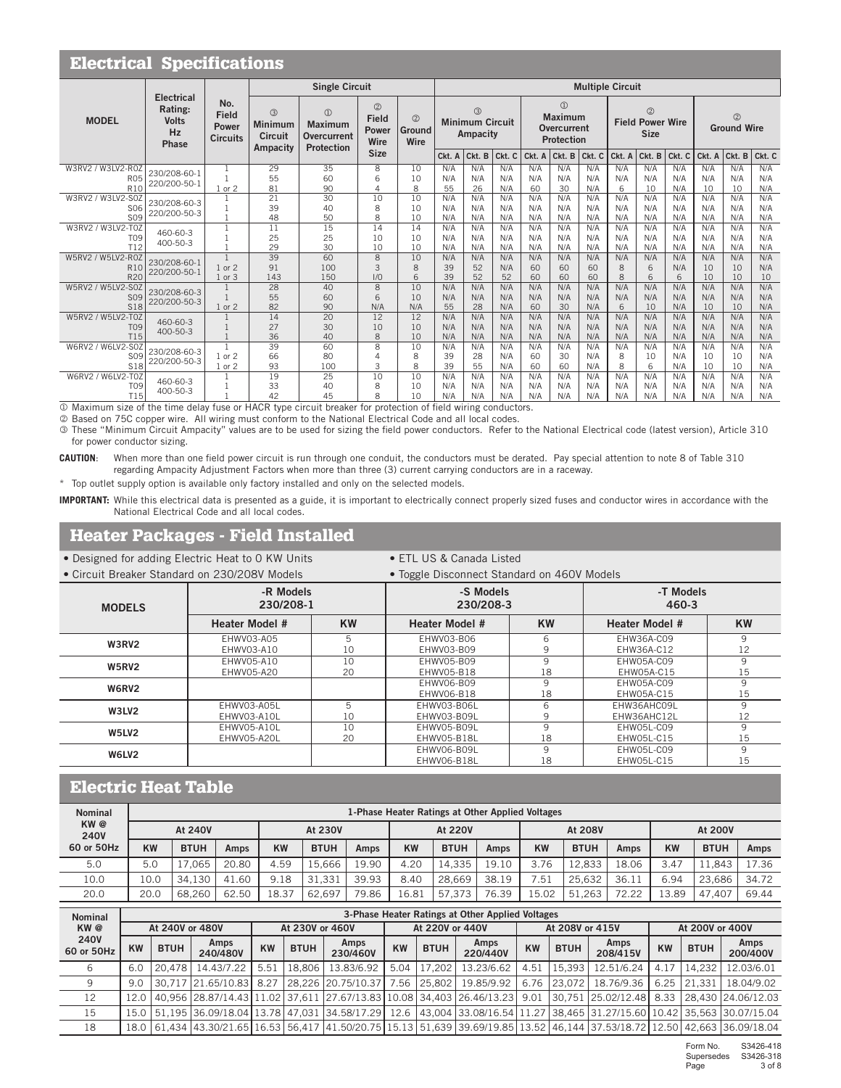|                                      | <b>Electrical Specifications</b><br><b>Multiple Circuit</b> |                                                 |                                                   |                                                                   |                                                 |                                 |           |                                                     |            |           |                                                            |            |          |                                                         |            |           |                                      |            |
|--------------------------------------|-------------------------------------------------------------|-------------------------------------------------|---------------------------------------------------|-------------------------------------------------------------------|-------------------------------------------------|---------------------------------|-----------|-----------------------------------------------------|------------|-----------|------------------------------------------------------------|------------|----------|---------------------------------------------------------|------------|-----------|--------------------------------------|------------|
|                                      |                                                             |                                                 |                                                   | <b>Single Circuit</b>                                             |                                                 |                                 |           |                                                     |            |           |                                                            |            |          |                                                         |            |           |                                      |            |
| <b>MODEL</b>                         | <b>Electrical</b><br>Rating:<br><b>Volts</b><br>Hz<br>Phase | No.<br><b>Field</b><br>Power<br><b>Circuits</b> | 3<br><b>Minimum</b><br><b>Circuit</b><br>Ampacity | $\circledR$<br>Maximum<br><b>Overcurrent</b><br><b>Protection</b> | $^{\circledR}$<br><b>Field</b><br>Power<br>Wire | $\circled{2}$<br>Ground<br>Wire |           | $\circled{3}$<br><b>Minimum Circuit</b><br>Ampacity |            |           | $\circledR$<br>Maximum<br>Overcurrent<br><b>Protection</b> |            |          | $\circled{2}$<br><b>Field Power Wire</b><br><b>Size</b> |            |           | $^{\circledR}$<br><b>Ground Wire</b> |            |
|                                      |                                                             |                                                 |                                                   |                                                                   | <b>Size</b>                                     |                                 | Ckt. A    | Ckt. B                                              | Ckt. C     | Ckt. A    | Ckt. B                                                     | Ckt. C     | Ckt. A   | Ckt. B                                                  | Ckt. C     | Ckt. A    | Ckt. B                               | Ckt. C     |
| W3RV2 / W3LV2-R0Z                    | 230/208-60-1                                                |                                                 | 29                                                | 35                                                                | 8                                               | 10                              | N/A       | N/A                                                 | N/A        | N/A       | N/A                                                        | N/A        | N/A      | N/A                                                     | N/A        | N/A       | N/A                                  | N/A        |
| <b>R05</b>                           | 220/200-50-1                                                |                                                 | 55                                                | 60                                                                | 6                                               | 10                              | N/A       | N/A                                                 | N/A        | N/A       | N/A                                                        | N/A        | N/A      | N/A                                                     | N/A        | N/A       | N/A                                  | N/A        |
| R <sub>10</sub><br>W3RV2 / W3LV2-S0Z |                                                             | or 2                                            | 81<br>21                                          | 90<br>30                                                          | $\Delta$<br>10                                  | 8<br>10                         | 55<br>N/A | 26<br>N/A                                           | N/A<br>N/A | 60<br>N/A | 30<br>N/A                                                  | N/A<br>N/A | 6<br>N/A | 10<br>N/A                                               | N/A<br>N/A | 10<br>N/A | 10<br>N/A                            | N/A<br>N/A |
| S <sub>06</sub>                      | 230/208-60-3                                                |                                                 | 39                                                | 40                                                                | 8                                               | 10                              | N/A       | N/A                                                 | N/A        | N/A       | N/A                                                        | N/A        | N/A      | N/A                                                     | N/A        | N/A       | N/A                                  | N/A        |
| <b>SO9</b>                           | 220/200-50-3                                                |                                                 | 48                                                | 50                                                                | 8                                               | 10                              | N/A       | N/A                                                 | N/A        | N/A       | N/A                                                        | N/A        | N/A      | N/A                                                     | N/A        | N/A       | N/A                                  | N/A        |
| W3RV2 / W3LV2-T0Z                    |                                                             |                                                 | 11                                                | 15                                                                | 14                                              | 14                              | N/A       | N/A                                                 | N/A        | N/A       | N/A                                                        | N/A        | N/A      | N/A                                                     | N/A        | N/A       | N/A                                  | N/A        |
| T <sub>09</sub>                      | 460-60-3                                                    |                                                 | 25                                                | 25                                                                | 10                                              | 10                              | N/A       | N/A                                                 | N/A        | N/A       | N/A                                                        | N/A        | N/A      | N/A                                                     | N/A        | N/A       | N/A                                  | N/A        |
| T12                                  | $400 - 50 - 3$                                              |                                                 | 29                                                | 30                                                                | 10                                              | 10                              | N/A       | N/A                                                 | N/A        | N/A       | N/A                                                        | N/A        | N/A      | N/A                                                     | N/A        | N/A       | N/A                                  | N/A        |
| W5RV2 / W5LV2-R0Z                    |                                                             | $\overline{1}$                                  | 39                                                | 60                                                                | $\overline{8}$                                  | 10                              | N/A       | N/A                                                 | N/A        | N/A       | N/A                                                        | N/A        | N/A      | N/A                                                     | N/A        | N/A       | N/A                                  | N/A        |
| R1C                                  | 230/208-60-1                                                | 1 or 2                                          | 91                                                | 100                                                               | 3                                               | 8                               | 39        | 52                                                  | N/A        | 60        | 60                                                         | 60         | 8        | 6                                                       | N/A        | 10        | 10                                   | N/A        |
| <b>R20</b>                           | 220/200-50-1                                                | or <sub>3</sub>                                 | 143                                               | 150                                                               | 1/0                                             | 6                               | 39        | 52                                                  | 52         | 60        | 60                                                         | 60         | 8        | 6                                                       | 6          | 10        | 10                                   | 10         |
| W5RV2 / W5LV2-S0Z                    | 230/208-60-3                                                |                                                 | 28                                                | 40                                                                | 8                                               | 10                              | N/A       | N/A                                                 | N/A        | N/A       | N/A                                                        | N/A        | N/A      | N/A                                                     | N/A        | N/A       | N/A                                  | N/A        |
| <b>SO9</b>                           | 220/200-50-3                                                |                                                 | 55                                                | 60                                                                | 6                                               | 10                              | N/A       | N/A                                                 | N/A        | N/A       | N/A                                                        | N/A        | N/A      | N/A                                                     | N/A        | N/A       | N/A                                  | N/A        |
| S <sub>18</sub>                      |                                                             | 1 or 2                                          | 82                                                | 90                                                                | N/A                                             | N/A                             | 55        | 28                                                  | N/A        | 60        | 30                                                         | N/A        | 6        | 10                                                      | N/A        | 10        | 10                                   | N/A        |
| W5RV2 / W5LV2-T0Z                    | 460-60-3                                                    |                                                 | $\overline{14}$                                   | $\overline{20}$                                                   | 12                                              | 12                              | N/A       | N/A                                                 | N/A        | N/A       | N/A                                                        | N/A        | N/A      | N/A                                                     | N/A        | N/A       | N/A                                  | N/A        |
| <b>T09</b>                           | 400-50-3                                                    |                                                 | 27                                                | 30                                                                | 10                                              | 10                              | N/A       | N/A                                                 | N/A        | N/A       | N/A                                                        | N/A        | N/A      | N/A                                                     | N/A        | N/A       | N/A                                  | N/A        |
| <b>T15</b>                           |                                                             |                                                 | 36                                                | 40                                                                | 8                                               | 10                              | N/A       | N/A                                                 | N/A        | N/A       | N/A                                                        | N/A        | N/A      | N/A                                                     | N/A        | N/A       | N/A                                  | N/A        |
| W6RV2 / W6LV2-S0Z                    | 230/208-60-3                                                |                                                 | 39                                                | 60                                                                | 8                                               | 10                              | N/A       | N/A                                                 | N/A        | N/A       | N/A                                                        | N/A        | N/A      | N/A                                                     | N/A        | N/A       | N/A                                  | N/A        |
| S <sub>09</sub>                      | 220/200-50-3                                                | $1$ or $2$                                      | 66                                                | 80                                                                | $\Delta$                                        | 8                               | 39        | 28                                                  | N/A        | 60        | 30                                                         | N/A        | 8        | 10                                                      | N/A        | 10        | 10                                   | N/A        |
| <b>S18</b>                           |                                                             | or 2                                            | 93                                                | 100                                                               | 3                                               | 8                               | 39        | 55                                                  | N/A        | 60        | 60                                                         | N/A        | 8        | 6                                                       | N/A        | 10        | 10                                   | N/A        |
| W6RV2 / W6LV2-T0Z                    | 460-60-3                                                    |                                                 | 19                                                | 25                                                                | 10                                              | 10                              | N/A       | N/A                                                 | N/A        | N/A       | N/A                                                        | N/A        | N/A      | N/A                                                     | N/A        | N/A       | N/A                                  | N/A        |
| <b>T09</b><br><b>T15</b>             | 400-50-3                                                    |                                                 | 33                                                | 40<br>45                                                          | 8<br>8                                          | 10<br>10                        | N/A       | N/A                                                 | N/A        | N/A       | N/A                                                        | N/A        | N/A      | N/A                                                     | N/A        | N/A       | N/A                                  | N/A<br>N/A |
|                                      |                                                             |                                                 | 42                                                |                                                                   |                                                 |                                 | N/A       | N/A                                                 | N/A        | N/A       | N/A                                                        | N/A        | N/A      | N/A                                                     | N/A        | N/A       | N/A                                  |            |

Maximum size of the time delay fuse or HACR type circuit breaker for protection of field wiring conductors. T15 1 42 45 8 10 N/A N/A N/A

Based on 75C copper wire. All wiring must conform to the National Electrical Code and all local codes.

 These "Minimum Circuit Ampacity" values are to be used for sizing the field power conductors. Refer to the National Electrical code (latest version), Article 310 for power conductor sizing.

**CAUTION**: When more than one field power circuit is run through one conduit, the conductors must be derated. Pay special attention to note 8 of Table 310 regarding Ampacity Adjustment Factors when more than three (3) current carrying conductors are in a raceway.

\* Top outlet supply option is available only factory installed and only on the selected models.

**IMPORTANT:** While this electrical data is presented as a guide, it is important to electrically connect properly sized fuses and conductor wires in accordance with the National Electrical Code and all local codes.

## Heater Packages - Field Installed

• Designed for adding Electric Heat to 0 KW Units • ETL US & Canada Listed

| • Circuit Breaker Standard on 230/208V Models |                            |           | • Toggle Disconnect Standard on 460V Models |           |                            |           |
|-----------------------------------------------|----------------------------|-----------|---------------------------------------------|-----------|----------------------------|-----------|
| <b>MODELS</b>                                 | -R Models<br>230/208-1     |           | -S Models<br>230/208-3                      |           | -T Models<br>460-3         |           |
|                                               | <b>Heater Model #</b>      | <b>KW</b> | Heater Model #                              | <b>KW</b> | <b>Heater Model #</b>      | <b>KW</b> |
| W3RV2                                         | EHWV03-A05<br>EHWV03-A10   | 5<br>10   | EHWV03-B06<br>EHWV03-B09                    | 6<br>9    | EHW36A-C09<br>EHW36A-C12   | 9<br>12   |
| <b>W5RV2</b>                                  | EHWV05-A10<br>EHWV05-A20   | 10<br>20  | EHWV05-B09<br>EHWV05-B18                    | 9<br>18   | EHW05A-C09<br>EHW05A-C15   | 9<br>15   |
| W6RV2                                         |                            |           | EHWV06-B09<br>EHWV06-B18                    | 9<br>18   | EHW05A-C09<br>EHW05A-C15   | 9<br>15   |
| W3LV2                                         | EHWV03-A05L<br>EHWV03-A10L | 5<br>10   | EHWV03-B06L<br>EHWV03-B09L                  | 6<br>9    | EHW36AHC09L<br>EHW36AHC12L | 9<br>12   |
| W5LV2                                         | EHWV05-A10L<br>EHWV05-A20L | 10<br>20  | EHWV05-B09L<br>EHWV05-B18L                  | 9<br>18   | EHW05L-C09<br>EHW05L-C15   | 9<br>15   |
| W6LV2                                         |                            |           | EHWV06-B09L<br>EHWV06-B18L                  | 9<br>18   | EHW05L-C09<br>EHW05L-C15   | 9<br>15   |

## Electric Heat Table

| <b>Nominal</b><br>KW @ |      |                                  |       |             |        |           |             | 1-Phase Heater Ratings at Other Applied Voltages |           |             |         |           |             |        |       |  |
|------------------------|------|----------------------------------|-------|-------------|--------|-----------|-------------|--------------------------------------------------|-----------|-------------|---------|-----------|-------------|--------|-------|--|
| <b>240V</b>            |      | At 240V                          |       | At 230V     |        |           | At 220V     |                                                  |           |             | At 208V |           | At 200V     |        |       |  |
| 60 or 50Hz             | KW   | <b>KW</b><br><b>BTUH</b><br>Amps |       | <b>BTUH</b> | Amps   | <b>KW</b> | <b>BTUH</b> | Amps                                             | <b>KW</b> | <b>BTUH</b> | Amps    | <b>KW</b> | <b>BTUH</b> | Amps   |       |  |
| 5.0                    | 5.0  | .065                             | 20.80 | 4.59        | 15.666 | 19.90     | 4.20        | 14.335                                           | 9.10      | 3.76        | 12.833  | 18.06     | 3.47        | 11,843 | 17.36 |  |
| 10.0                   | 10.0 | 34.130                           | 41.60 | 9.18        | 31.331 | 39.93     | 8.40        | 28.669                                           | 38.19     | .51         | 25.632  | 36.1      | 6.94        | 23.686 | 34.72 |  |
| 20.0                   | 20.0 | 68.260                           | 62.50 | 18.37       | 62.697 | 79.86     | 16.81       | 57.373                                           | 76.39     | .5.02       | 51.263  | 72.22     | .3.89       | 47.407 | 69.44 |  |

| <b>Nominal</b>     |           |                 |                             |           |                 |                                                                                                                             |           |                 | 3-Phase Heater Ratings at Other Applied Voltages |           |                 |                                                    |           |                 |                  |
|--------------------|-----------|-----------------|-----------------------------|-----------|-----------------|-----------------------------------------------------------------------------------------------------------------------------|-----------|-----------------|--------------------------------------------------|-----------|-----------------|----------------------------------------------------|-----------|-----------------|------------------|
| KW@                |           | At 240V or 480V |                             |           | At 230V or 460V |                                                                                                                             |           | At 220V or 440V |                                                  |           | At 208V or 415V |                                                    |           | At 200V or 400V |                  |
| 240V<br>60 or 50Hz | <b>KW</b> | <b>BTUH</b>     | Amps<br>240/480V            | <b>KW</b> | <b>BTUH</b>     | Amps<br>230/460V                                                                                                            | <b>KW</b> | <b>BTUH</b>     | Amps<br>220/440V                                 | <b>KW</b> | <b>BTUH</b>     | Amps<br>208/415V                                   | <b>KW</b> | <b>BTUH</b>     | Amps<br>200/400V |
| 6                  | 6.0       |                 | 20.478   14.43/7.22         | 5.51      | 18.806          | 13.83/6.92                                                                                                                  | 5.04      | 17.202          | 13.23/6.62                                       | 4.51      | 15.393          | 12.51/6.24                                         | 4.17      | 14.232          | 12.03/6.01       |
| 9                  | 9.0       |                 | 30.717   21.65/10.83   8.27 |           |                 | 28.226 20.75/10.37 7                                                                                                        |           | 7.56 25.802     | 19.85/9.92                                       | 6.76      | 23.072          | 18.76/9.36                                         | 6.25      | 21.331          | 18.04/9.02       |
| 12                 | 12.0      |                 |                             |           |                 | 40.956   28.87/14.43   11.02   37.611   27.67/13.83   10.08   34.403   26.46/13.23   9.01                                   |           |                 |                                                  |           |                 | 30.751   25.02/12.48   8.33   28.430   24.06/12.03 |           |                 |                  |
| 15                 |           |                 |                             |           |                 | 15.0 5.5.63 36.09/18.04 13.78 47.031 34.58/17.29 12.6 43.004 33.08/16.54 11.27 38.465 31.27/15.60 10.42 35.563 30.07/15.04  |           |                 |                                                  |           |                 |                                                    |           |                 |                  |
| 18                 |           |                 |                             |           |                 | 18.0 61,434 43.30/21.65 16.53 56,417 41.50/20.75 15.13 51,639 39.69/19.85 13.52 46,144 37.53/18.72 12.50 42,663 36.09/18.04 |           |                 |                                                  |           |                 |                                                    |           |                 |                  |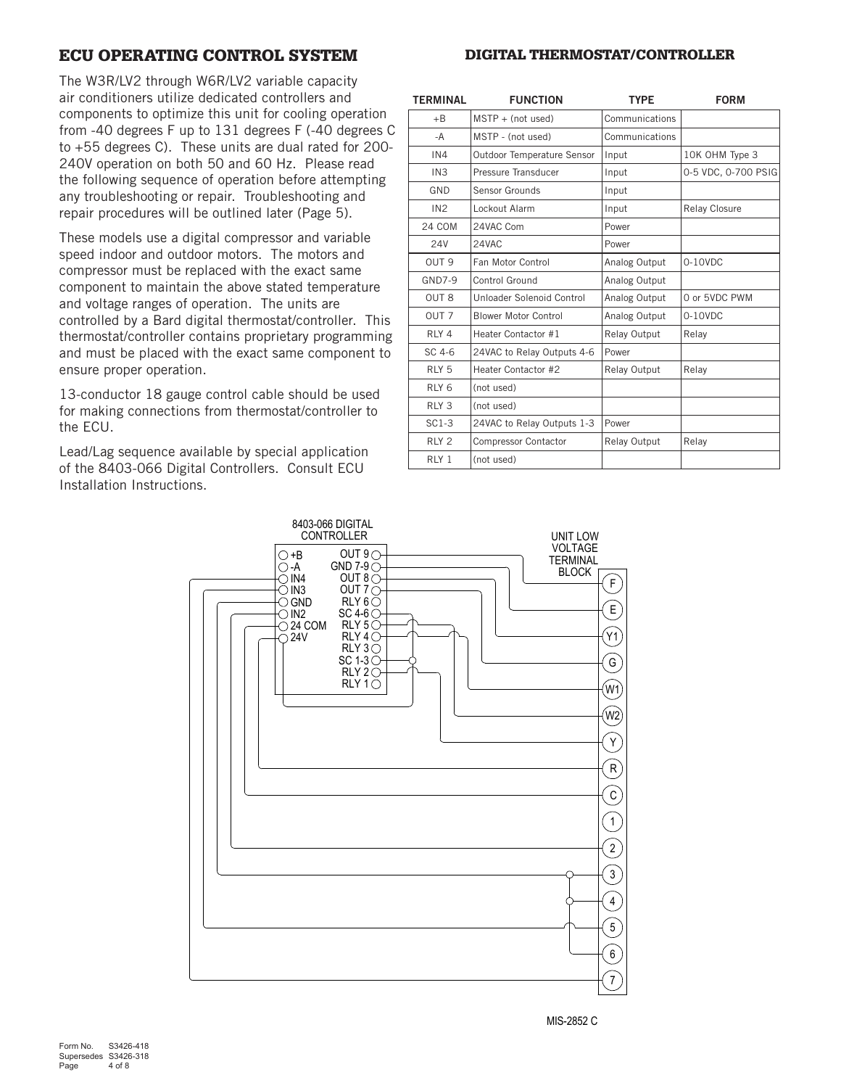## ECU OPERATING CONTROL SYSTEM

The W3R/LV2 through W6R/LV2 variable capacity

air conditioners utilize dedicated controllers and components to optimize this unit for cooling operation from -40 degrees F up to 131 degrees F (-40 degrees C to +55 degrees C). These units are dual rated for 200- 240V operation on both 50 and 60 Hz. Please read the following sequence of operation before attempting any troubleshooting or repair. Troubleshooting and repair procedures will be outlined later (Page 5).

These models use a digital compressor and variable speed indoor and outdoor motors. The motors and compressor must be replaced with the exact same component to maintain the above stated temperature and voltage ranges of operation. The units are controlled by a Bard digital thermostat/controller. This thermostat/controller contains proprietary programming and must be placed with the exact same component to ensure proper operation.

13-conductor 18 gauge control cable should be used for making connections from thermostat/controller to the ECU.

Lead/Lag sequence available by special application of the 8403-066 Digital Controllers. Consult ECU Installation Instructions.

| <b>TERMINAL</b>  | <b>FUNCTION</b>             | <b>TYPE</b>    | <b>FORM</b>          |
|------------------|-----------------------------|----------------|----------------------|
| $+B$             | $MSTP + (not used)$         | Communications |                      |
| $-A$             | MSTP - (not used)           | Communications |                      |
| IN4              | Outdoor Temperature Sensor  | Input          | 10K OHM Type 3       |
| IN3              | Pressure Transducer         | Input          | 0-5 VDC, 0-700 PSIG  |
| GND              | Sensor Grounds              | Input          |                      |
| IN <sub>2</sub>  | Lockout Alarm               | Input          | <b>Relay Closure</b> |
| <b>24 COM</b>    | 24VAC Com                   | Power          |                      |
| <b>24V</b>       | 24VAC                       | Power          |                      |
| OUT <sub>9</sub> | Fan Motor Control           | Analog Output  | 0-10VDC              |
| <b>GND7-9</b>    | Control Ground              | Analog Output  |                      |
| OUT <sub>8</sub> | Unloader Solenoid Control   | Analog Output  | 0 or 5VDC PWM        |
| OUT <sub>7</sub> | <b>Blower Motor Control</b> | Analog Output  | $0-10VDC$            |
| RLY <sub>4</sub> | Heater Contactor #1         | Relay Output   | Relay                |
| SC 4-6           | 24VAC to Relay Outputs 4-6  | Power          |                      |
| RLY <sub>5</sub> | Heater Contactor #2         | Relay Output   | Relay                |
| RLY <sub>6</sub> | (not used)                  |                |                      |
| RLY <sub>3</sub> | (not used)                  |                |                      |
| $SC1-3$          | 24VAC to Relay Outputs 1-3  | Power          |                      |
| RLY <sub>2</sub> | Compressor Contactor        | Relay Output   | Relay                |
| RLY <sub>1</sub> | (not used)                  |                |                      |



### DIGITAL THERMOSTAT/CONTROLLER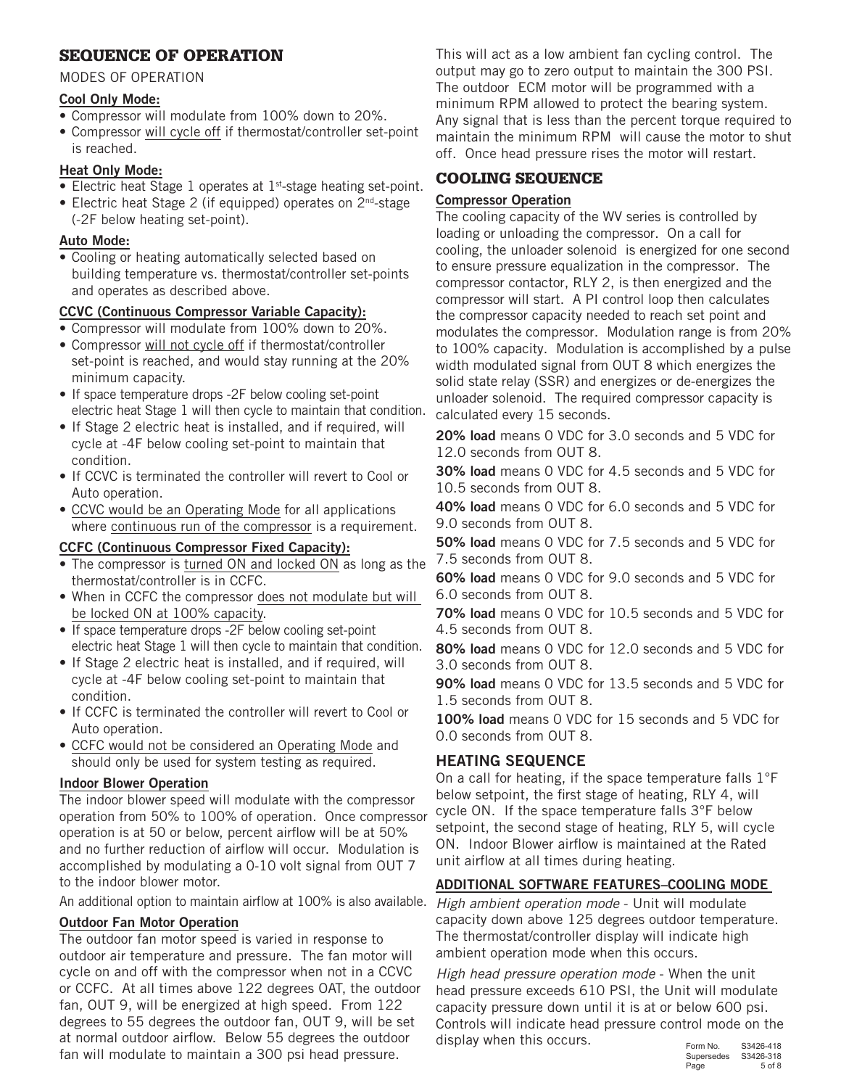## SEQUENCE OF OPERATION

### MODES OF OPERATION

## Cool Only Mode:

- Compressor will modulate from 100% down to 20%.
- Compressor will cycle off if thermostat/controller set-point is reached.

## Heat Only Mode:

- Electric heat Stage 1 operates at 1<sup>st</sup>-stage heating set-point.
- Electric heat Stage 2 (if equipped) operates on 2<sup>nd</sup>-stage (-2F below heating set-point).

## Auto Mode:

• Cooling or heating automatically selected based on building temperature vs. thermostat/controller set-points and operates as described above.

## CCVC (Continuous Compressor Variable Capacity):

- Compressor will modulate from 100% down to 20%.
- Compressor will not cycle off if thermostat/controller set-point is reached, and would stay running at the 20% minimum capacity.
- If space temperature drops -2F below cooling set-point electric heat Stage 1 will then cycle to maintain that condition.
- If Stage 2 electric heat is installed, and if required, will cycle at -4F below cooling set-point to maintain that condition.
- If CCVC is terminated the controller will revert to Cool or Auto operation.
- CCVC would be an Operating Mode for all applications where continuous run of the compressor is a requirement.

## CCFC (Continuous Compressor Fixed Capacity):

- The compressor is turned ON and locked ON as long as the thermostat/controller is in CCFC.
- When in CCFC the compressor does not modulate but will be locked ON at 100% capacity.
- If space temperature drops -2F below cooling set-point electric heat Stage 1 will then cycle to maintain that condition.
- If Stage 2 electric heat is installed, and if required, will cycle at -4F below cooling set-point to maintain that condition.
- If CCFC is terminated the controller will revert to Cool or Auto operation.
- CCFC would not be considered an Operating Mode and should only be used for system testing as required.

## Indoor Blower Operation

The indoor blower speed will modulate with the compressor operation from 50% to 100% of operation. Once compressor operation is at 50 or below, percent airflow will be at 50% and no further reduction of airflow will occur. Modulation is accomplished by modulating a 0-10 volt signal from OUT 7 to the indoor blower motor.

An additional option to maintain airflow at 100% is also available.

## Outdoor Fan Motor Operation

The outdoor fan motor speed is varied in response to outdoor air temperature and pressure. The fan motor will cycle on and off with the compressor when not in a CCVC or CCFC. At all times above 122 degrees OAT, the outdoor fan, OUT 9, will be energized at high speed. From 122 degrees to 55 degrees the outdoor fan, OUT 9, will be set at normal outdoor airflow. Below 55 degrees the outdoor fan will modulate to maintain a 300 psi head pressure.

This will act as a low ambient fan cycling control. The output may go to zero output to maintain the 300 PSI. The outdoor ECM motor will be programmed with a minimum RPM allowed to protect the bearing system. Any signal that is less than the percent torque required to maintain the minimum RPM will cause the motor to shut off. Once head pressure rises the motor will restart.

## COOLING SEQUENCE

## Compressor Operation

The cooling capacity of the WV series is controlled by loading or unloading the compressor. On a call for cooling, the unloader solenoid is energized for one second to ensure pressure equalization in the compressor. The compressor contactor, RLY 2, is then energized and the compressor will start. A PI control loop then calculates the compressor capacity needed to reach set point and modulates the compressor. Modulation range is from 20% to 100% capacity. Modulation is accomplished by a pulse width modulated signal from OUT 8 which energizes the solid state relay (SSR) and energizes or de-energizes the unloader solenoid. The required compressor capacity is calculated every 15 seconds.

20% load means 0 VDC for 3.0 seconds and 5 VDC for 12.0 seconds from OUT 8.

30% load means 0 VDC for 4.5 seconds and 5 VDC for 10.5 seconds from OUT 8.

40% load means 0 VDC for 6.0 seconds and 5 VDC for 9.0 seconds from OUT 8.

50% load means 0 VDC for 7.5 seconds and 5 VDC for 7.5 seconds from OUT 8.

60% load means 0 VDC for 9.0 seconds and 5 VDC for 6.0 seconds from OUT 8.

70% load means 0 VDC for 10.5 seconds and 5 VDC for 4.5 seconds from OUT 8.

80% load means 0 VDC for 12.0 seconds and 5 VDC for 3.0 seconds from OUT 8.

90% load means 0 VDC for 13.5 seconds and 5 VDC for 1.5 seconds from OUT 8.

100% load means 0 VDC for 15 seconds and 5 VDC for 0.0 seconds from OUT 8.

## HEATING SEQUENCE

On a call for heating, if the space temperature falls 1°F below setpoint, the first stage of heating, RLY 4, will cycle ON. If the space temperature falls 3°F below setpoint, the second stage of heating, RLY 5, will cycle ON. Indoor Blower airflow is maintained at the Rated unit airflow at all times during heating.

## ADDITIONAL SOFTWARE FEATURES–COOLING MODE

*High ambient operation mode* - Unit will modulate capacity down above 125 degrees outdoor temperature. The thermostat/controller display will indicate high ambient operation mode when this occurs.

*High head pressure operation mode* - When the unit head pressure exceeds 610 PSI, the Unit will modulate capacity pressure down until it is at or below 600 psi. Controls will indicate head pressure control mode on the display when this occurs.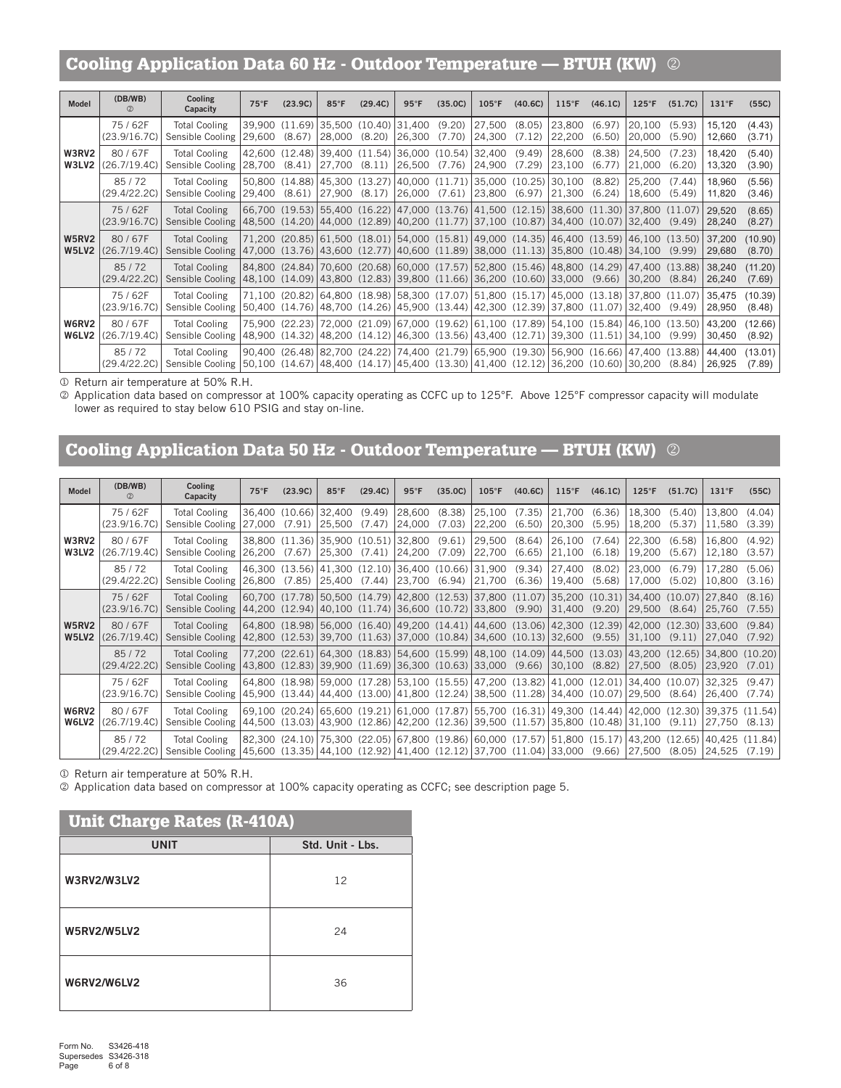## Cooling Application Data 60 Hz - Outdoor Temperature — BTUH (KW)

| <b>Model</b>          | (DB/WB)<br>$^{\circ}$  | Cooling<br>Capacity                                                                                                               | $75^{\circ}F$  | (23.9C) | $85^{\circ}$ F                                                                                                                                                                                                                                                                                              | (29.4C) | $95^{\circ}$ F | (35.0C) | $105^{\circ}$ F               | (40.6C) | $115^{\circ}$ F  | (46.1C)          | $125^{\circ}$ F  | (51.7C)          | $131^\circ F$    | (55C)             |
|-----------------------|------------------------|-----------------------------------------------------------------------------------------------------------------------------------|----------------|---------|-------------------------------------------------------------------------------------------------------------------------------------------------------------------------------------------------------------------------------------------------------------------------------------------------------------|---------|----------------|---------|-------------------------------|---------|------------------|------------------|------------------|------------------|------------------|-------------------|
|                       | 75/62F<br>(23.9/16.7C) | <b>Total Cooling</b><br>Sensible Cooling                                                                                          | 29.600         | (8.67)  | 39,900 (11.69) 35,500 (10.40) 31,400 (9.20)<br>128.000                                                                                                                                                                                                                                                      | (8.20)  | 126.300        | (7.70)  | $ 27,500 \t(8.05) $<br>24,300 | (7.12)  | 23,800<br>22,200 | (6.97)<br>(6.50) | 20.100<br>20,000 | (5.93)<br>(5.90) | 15.120<br>12,660 | (4.43)<br>(3.71)  |
| W3RV2<br>W3LV2        | 80/67F<br>(26.7/19.4C) | <b>Total Cooling</b><br>Sensible Cooling                                                                                          | 28.700         | (8.41)  | 42,600 (12.48) 39,400 (11.54) 36,000 (10.54) 32,400 (9.49)<br>27,700                                                                                                                                                                                                                                        | (8.11)  | 26,500         | (7.76)  | 24,900                        | (7.29)  | 28,600<br>23,100 | (8.38)<br>(6.77) | 24,500<br>21,000 | (7.23)<br>(6.20) | 18,420<br>13,320 | (5.40)<br>(3.90)  |
|                       | 85/72<br>(29.4/22.2C)  | <b>Total Cooling</b><br>Sensible Cooling                                                                                          | 29.400         | (8.61)  | 50,800 (14.88) 45,300 (13.27) 40,000 (11.71) 35,000 (10.25)<br>27,900                                                                                                                                                                                                                                       | (8.17)  | 26.000         | (7.61)  | 23,800                        | (6.97)  | 30,100<br>21,300 | (8.82)<br>(6.24) | 25.200<br>18,600 | (7.44)<br>(5.49) | 18.960<br>11,820 | (5.56)<br>(3.46)  |
|                       | 75/62F<br>(23.9/16.7C) | <b>Total Cooling</b><br>Sensible Cooling 48,500 (14.20) 44,000 (12.89) 40,200 (11.77) 37,100 (10.87) 34,400 (10.07) 32,400 (9.49) |                |         | (66,700 (19.53) 55,400 (16.22) 47,000 (13.76) 41,500 (12.15) 38,600 (11.30) 37,800 (11.07)                                                                                                                                                                                                                  |         |                |         |                               |         |                  |                  |                  |                  | 29.520<br>28,240 | (8.65)<br>(8.27)  |
| <b>W5RV2</b><br>W5LV2 | 80/67F<br>(26.7/19.4C) | <b>Total Cooling</b><br>Sensible Cooling                                                                                          |                |         | $71,200$ (20.85) $\left 61,500\right $ (18.01) $\left 54,000\right $ (15.81) $\left 49,000\right $ (14.35) $\left 46,400\right $ (13.59) $\left 46,100\right $ (13.50)<br>$\vert$ 47,000 (13.76) $\vert$ 43,600 (12.77) $\vert$ 40,600 (11.89) $\vert$ 38,000 (11.13) $\vert$ 35,800 (10.48) $\vert$ 34,100 |         |                |         |                               |         |                  |                  |                  | (9.99)           | 37.200<br>29,680 | (10.90)<br>(8.70) |
|                       | 85/72<br>(29.4/22.2C)  | <b>Total Cooling</b><br>Sensible Cooling 48,100 (14.09) 43,800 (12.83) 39,800 (11.66) 36,200 (10.60) 33,000                       |                |         | 84,800 (24.84) 70,600 (20.68) 60,000 (17.57) 52,800 (15.46) 48,800 (14.29) 47,400 (13.88)                                                                                                                                                                                                                   |         |                |         |                               |         |                  | (9.66)           | 30,200           | (8.84)           | 38.240<br>26,240 | (11.20)<br>(7.69) |
|                       | 75/62F<br>(23.9/16.7C) | <b>Total Cooling</b><br>Sensible Cooling                                                                                          | 50.400 (14.76) |         | 71,100 (20.82) 64,800 (18.98) 58,300 (17.07) 51,800 (15.17) 45,000 (13.18) 37,800 (11.07)<br> 48,700 (14.26) 45,900 (13.44) 42,300 (12.39)                                                                                                                                                                  |         |                |         |                               |         |                  | 37,800 (11.07)   | 32,400           | (9.49)           | 35,475<br>28,950 | (10.39)<br>(8.48) |
| W6RV2<br>W6LV2        | 80/67F<br>(26.7/19.4C) | <b>Total Cooling</b><br>Sensible Cooling                                                                                          |                |         | 75,900 (22.23) 72,000 (21.09) 67,000 (19.62) 61,100 (17.89) 54,100 (15.84) 46,100 (13.50)<br>48,900 (14.32) 48,200 (14.12) 46,300 (13.56) 43,400 (12.71) 39,300 (11.51) 34,100                                                                                                                              |         |                |         |                               |         |                  |                  |                  | (9.99)           | 43.200<br>30,450 | (12.66)<br>(8.92) |
|                       | 85/72<br>(29.4/22.2C)  | <b>Total Cooling</b><br>Sensible Cooling 50,100 (14.67) 48,400 (14.17) 45,400 (13.30) 41,400 (12.12) 36,200 (10.60) 30,200 (8.84) |                |         | 90,400 (26.48) 82,700 (24.22) 74,400 (21.79) 65,900 (19.30) 56,900 (16.66) 47,400 (13.88)                                                                                                                                                                                                                   |         |                |         |                               |         |                  |                  |                  |                  | 44,400<br>26,925 | (13.01)<br>(7.89) |

Return air temperature at 50% R.H.

 Application data based on compressor at 100% capacity operating as CCFC up to 125°F. Above 125°F compressor capacity will modulate lower as required to stay below 610 PSIG and stay on-line.

## Cooling Application Data 50 Hz - Outdoor Temperature — BTUH (KW)

| Model                 | (DB/WB)<br>$^{\circledR}$ | Cooling<br>Capacity                                                                                                | $75^{\circ}$ F | (23.9C)                                                              | $85^{\circ}$ F | (29.4C)          | $95^{\circ}$ F                   | (35.0C) | $105^{\circ}$ F         | (40.6C) | $115^{\circ}$ F    | (46.1C)          | $125^{\circ}$ F                                                                                                                                                                                      | (51.7C)          | $131^\circ F$           | (55C)  |
|-----------------------|---------------------------|--------------------------------------------------------------------------------------------------------------------|----------------|----------------------------------------------------------------------|----------------|------------------|----------------------------------|---------|-------------------------|---------|--------------------|------------------|------------------------------------------------------------------------------------------------------------------------------------------------------------------------------------------------------|------------------|-------------------------|--------|
|                       | 75/62F<br>(23.9/16.7C)    | <b>Total Cooling</b><br>Sensible Cooling                                                                           | 27.000         | 36.400 (10.66) 32.400<br>(7.91)                                      | 25,500         | (9.49)<br>(7.47) | $ 28,600 \quad (8.38)$<br>24,000 | (7.03)  | 25,100 (7.35)<br>22,200 | (6.50)  | 21,700<br>20,300   | (6.36)<br>(5.95) | 18.300<br>18,200                                                                                                                                                                                     | (5.40)<br>(5.37) | 13.800 (4.04)<br>11,580 | (3.39) |
| W3RV2<br>W3LV2        | 80/67F<br>(26.7/19.4C)    | <b>Total Cooling</b><br>Sensible Cooling                                                                           | 26.200         | 38,800 (11.36) 35,900 (10.51) 32,800 (9.61)<br>(7.67)                | 25,300         | (7.41)           | 24,200                           | (7.09)  | 29,500 (8.64)<br>22,700 | (6.65)  | 26.100<br>21,100   | (7.64)<br>(6.18) | 22,300<br>19,200                                                                                                                                                                                     | (6.58)<br>(5.67) | 16.800 (4.92)<br>12,180 | (3.57) |
|                       | 85/72<br>(29.4/22.2C)     | <b>Total Cooling</b><br>Sensible Cooling                                                                           | 126.800        | 46,300 (13.56) 41,300 (12.10) 36,400 (10.66) 31,900 (9.34)<br>(7.85) | 25,400 (7.44)  |                  | 23,700 (6.94)                    |         | 21,700                  | (6.36)  | 27,400<br>19,400   | (8.02)<br>(5.68) | 23,000<br>17,000                                                                                                                                                                                     | (6.79)<br>(5.02) | 17.280 (5.06)<br>10,800 | (3.16) |
|                       | 75/62F<br>(23.9/16.7C)    | <b>Total Cooling</b><br>Sensible Cooling                                                                           |                | 44,200 (12.94) 40,100 (11.74) 36,600 (10.72) 33,800 (9.90)           |                |                  |                                  |         |                         |         | $ 31,400 \t(9.20)$ |                  | 60,700 (17.78) 50,500 (14.79) 42,800 (12.53) 37,800 (11.07) 35,200 (10.31) 34,400 (10.07) 27,840 (8.16)<br>29,500                                                                                    | (8.64)           | 25,760                  | (7.55) |
| <b>W5RV2</b><br>W5LV2 | 80/67F<br>(26.7/19.4C)    | <b>Total Cooling</b><br>Sensible Cooling                                                                           |                | 42,800 (12.53) 39,700 (11.63) 37,000 (10.84) 34,600 (10.13) 32,600   |                |                  |                                  |         |                         |         |                    | (9.55)           | 64,800 (18.98) 56,000 (16.40) 49,200 (14.41) 44,600 (13.06) 42,300 (12.39) 42,000 (12.30) 33,600 (9.84)<br>31.100                                                                                    | (9.11)           | 27.040                  | (7.92) |
|                       | 85/72<br>(29.4/22.2C)     | <b>Total Cooling</b><br>Sensible Cooling                                                                           |                | 43,800 (12.83) 39,900 (11.69) 36,300 (10.63) 33,000                  |                |                  |                                  |         |                         | (9.66)  | $ 30,100\rangle$   | (8.82)           | (77,200 (22.61) 64,300 (18.83) 54,600 (15.99) 48,100 (14.09) 44,500 (13.03) 43,200 (12.65) 34,800 (10.20)<br>27,500                                                                                  | (8.05)           | 23.920                  | (7.01) |
|                       | 75/62F<br>(23.9/16.7C)    | <b>Total Cooling</b><br>Sensible Cooling                                                                           |                |                                                                      |                |                  |                                  |         |                         |         |                    |                  | 64,800 (18.98) 59,000 (17.28) 53,100 (15.55) 47,200 (13.82) 41,000 (12.01) 34,400 (10.07) 32,325 (9.47)<br>45,900 (13.44) 44,400 (13.00) 41,800 (12.24) 38,500 (11.28) 34,400 (10.07) 29,500         | (8.64)           | 126.400                 | (7.74) |
| W6RV2<br>W6LV2        | 80/67F<br>(26.7/19.4C)    | <b>Total Cooling</b><br>Sensible Cooling                                                                           |                |                                                                      |                |                  |                                  |         |                         |         |                    |                  | (69,100 (20.24) (65,600 (19.21) (61,000 (17.87) (55,700 (16.31) (49,300 (14.44) (42,000 (12.30) (39,375 (11.54)<br>44,500 (13.03) 43,900 (12.86) 42,200 (12.36) 39,500 (11.57) 35,800 (10.48) 31,100 | (9.11)           | 127.750                 | (8.13) |
|                       | 85/72<br>(29.4/22.2C)     | <b>Total Cooling</b><br>Sensible Cooling 45,600 (13.35) 44,100 (12.92) 41,400 (12.12) 37,700 (11.04) 33,000 (9.66) |                |                                                                      |                |                  |                                  |         |                         |         |                    |                  | 82,300 (24.10) 75,300 (22.05) 67,800 (19.86) 60,000 (17.57) 51,800 (15.17) 43,200 (12.65) 40,425 (11.84)<br>27,500                                                                                   | (8.05)           | 124.525                 | (7.19) |

Return air temperature at 50% R.H.

Application data based on compressor at 100% capacity operating as CCFC; see description page 5.

| <b>Unit Charge Rates (R-410A)</b> |                  |  |  |  |  |  |  |  |  |  |  |
|-----------------------------------|------------------|--|--|--|--|--|--|--|--|--|--|
| <b>UNIT</b>                       | Std. Unit - Lbs. |  |  |  |  |  |  |  |  |  |  |
| <b>W3RV2/W3LV2</b>                | 12               |  |  |  |  |  |  |  |  |  |  |
| <b>W5RV2/W5LV2</b>                | 24               |  |  |  |  |  |  |  |  |  |  |
| W6RV2/W6LV2                       | 36               |  |  |  |  |  |  |  |  |  |  |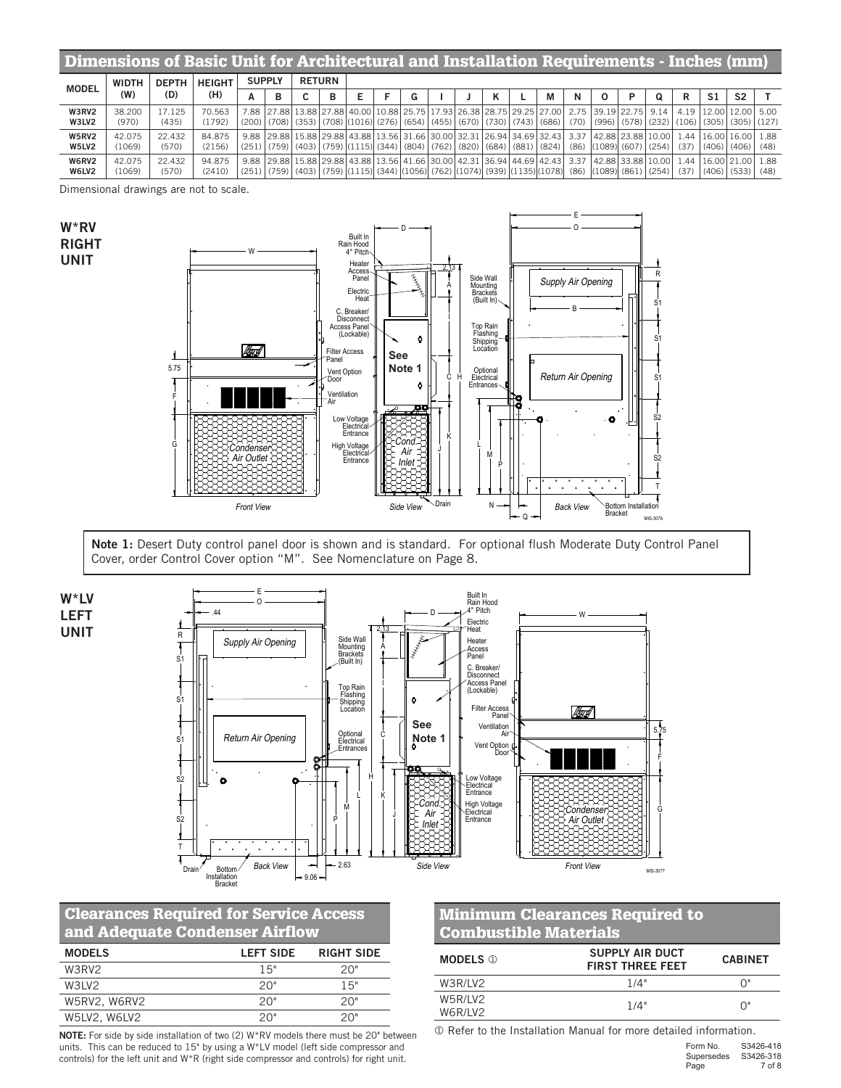| Dimensions of Basic Unit for Architectural and Installation Requirements - Inches (mm) |                  |                 |                  |               |               |   |  |  |                                                                                                                                                                                    |  |   |   |  |                                                                                                                                                                                                                     |   |     |                                                                                         |  |
|----------------------------------------------------------------------------------------|------------------|-----------------|------------------|---------------|---------------|---|--|--|------------------------------------------------------------------------------------------------------------------------------------------------------------------------------------|--|---|---|--|---------------------------------------------------------------------------------------------------------------------------------------------------------------------------------------------------------------------|---|-----|-----------------------------------------------------------------------------------------|--|
| <b>MODEL</b>                                                                           | <b>WIDTH</b>     | <b>DEPTH</b>    | <b>HEIGHT</b>    | <b>SUPPLY</b> | <b>RETURN</b> |   |  |  |                                                                                                                                                                                    |  |   |   |  |                                                                                                                                                                                                                     |   |     |                                                                                         |  |
|                                                                                        | (W)              | (D)             | (H)              | в             | u             | в |  |  |                                                                                                                                                                                    |  | М | N |  | ი                                                                                                                                                                                                                   | R | -S1 | S <sub>2</sub>                                                                          |  |
| <b>W3RV2</b><br>W3LV2                                                                  | 38,200<br>(970)  | 17.125<br>(435) | 70.563<br>(1792) |               |               |   |  |  | 7.88 27.88 13.88 27.88 40.00 10.88 25.75 17.93 26.38 28.75 29.25 27.00<br>$(200)$ $(708)$ $(353)$ $(708)$ $(1016)$ $(276)$ $(654)$ $(455)$ $(670)$ $(730)$ $(743)$ $(686)$ $(686)$ |  |   |   |  | 2.75   39.19   22.75   9.14                                                                                                                                                                                         |   |     | 4.19 12.00 12.00 5.00<br>$(70)$ $(996)$ $(578)$ $(232)$ $(106)$ $(305)$ $(305)$ $(127)$ |  |
| <b>W5RV2</b><br>W5LV2                                                                  | 42.075<br>(1069) | 22.432<br>(570) | 84.875<br>(2156) |               |               |   |  |  | $(251)$ $(759)$ $(403)$ $(759)$ $(1115)$ $(344)$ $(804)$ $(762)$ $(820)$ $(684)$ $(881)$ $(824)$                                                                                   |  |   |   |  | 9.88 29.88 15.88 29.88 43.88 13.56 31.66 30.00 32.31 26.94 34.69 32.43 3.37 42.88 23.88 10.00 1.44<br>$(86)$ $(1089)$ $(607)$ $(254)$ $(37)$                                                                        |   |     | 16.00116.0011.88<br>  (406)   (406)   (48)                                              |  |
| <b>W6RV2</b><br>W6LV2                                                                  | 42.075<br>(1069) | 22.432<br>(570) | 94.875<br>(2410) |               |               |   |  |  |                                                                                                                                                                                    |  |   |   |  | 9.88 29.88 15.88 29.88 43.88 13.56 41.66 30.00 42.31 36.94 44.69 42.43 3.37 42.88 33.88 10.00 1.44<br>(251) $(759)$ (403) $(759)$ (1115) (344) (1056) (762) (1074) (939) (1135) (1078) (86) (1089) (861) (254) (37) |   |     | 116.00121.001 1.88<br>$(406)$ $(533)$ $(48)$                                            |  |

Dimensional drawings are not to scale.



Note 1: Desert Duty control panel door is shown and is standard. For optional flush Moderate Duty Control Panel Cover, order Control Cover option "M". See Nomenclature on Page 8.



W\*RV RIGHT UNIT



## Clearances Required for Service Access and Adequate Condenser Airflow

| <b>MODELS</b> | <b>LEFT SIDE</b> | <b>RIGHT SIDE</b> |
|---------------|------------------|-------------------|
| W3RV2         | 15"              | 20"               |
| W31 V2        | 20"              | 15"               |
| W5RV2, W6RV2  | 20"              | 20"               |
| W5LV2, W6LV2  | 20"              | 20"               |

NOTE: For side by side installation of two (2) W\*RV models there must be 20" between units. This can be reduced to 15" by using a W\*LV model (left side compressor and controls) for the left unit and W\*R (right side compressor and controls) for right unit.

## Minimum Clearances Required to Combustible Materials

| <b>MODELS</b> ①    | SUPPLY AIR DUCT<br><b>FIRST THREE FEET</b> | <b>CABINET</b> |
|--------------------|--------------------------------------------|----------------|
| W3R/LV2            | 1/4"                                       | በ"             |
| W5R/IV2<br>W6R/LV2 | 1/4"                                       | ባ"             |

Refer to the Installation Manual for more detailed information.